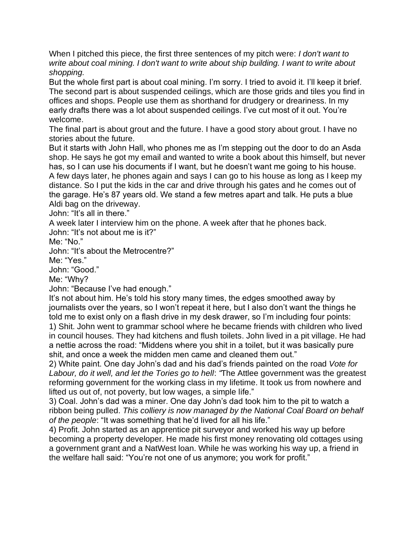When I pitched this piece, the first three sentences of my pitch were: *I don't want to write about coal mining. I don't want to write about ship building. I want to write about shopping.* 

But the whole first part is about coal mining. I'm sorry. I tried to avoid it. I'll keep it brief. The second part is about suspended ceilings, which are those grids and tiles you find in offices and shops. People use them as shorthand for drudgery or dreariness. In my early drafts there was a lot about suspended ceilings. I've cut most of it out. You're welcome.

The final part is about grout and the future. I have a good story about grout. I have no stories about the future.

But it starts with John Hall, who phones me as I'm stepping out the door to do an Asda shop. He says he got my email and wanted to write a book about this himself, but never has, so I can use his documents if I want, but he doesn't want me going to his house. A few days later, he phones again and says I can go to his house as long as I keep my distance. So I put the kids in the car and drive through his gates and he comes out of the garage. He's 87 years old. We stand a few metres apart and talk. He puts a blue Aldi bag on the driveway.

John: "It's all in there."

A week later I interview him on the phone. A week after that he phones back.

John: "It's not about me is it?"

Me: "No."

John: "It's about the Metrocentre?"

Me: "Yes."

John: "Good."

Me: "Why?

John: "Because I've had enough."

It's not about him. He's told his story many times, the edges smoothed away by journalists over the years, so I won't repeat it here, but I also don't want the things he told me to exist only on a flash drive in my desk drawer, so I'm including four points:

1) Shit. John went to grammar school where he became friends with children who lived in council houses. They had kitchens and flush toilets. John lived in a pit village. He had a nettie across the road: "Middens where you shit in a toilet, but it was basically pure shit, and once a week the midden men came and cleaned them out."

2) White paint. One day John's dad and his dad's friends painted on the road *Vote for Labour, do it well, and let the Tories go to hell*: *"*The Attlee government was the greatest reforming government for the working class in my lifetime. It took us from nowhere and lifted us out of, not poverty, but low wages, a simple life."

3) Coal. John's dad was a miner. One day John's dad took him to the pit to watch a ribbon being pulled. *This colliery is now managed by the National Coal Board on behalf of the people*: "It was something that he'd lived for all his life."

4) Profit. John started as an apprentice pit surveyor and worked his way up before becoming a property developer. He made his first money renovating old cottages using a government grant and a NatWest loan. While he was working his way up, a friend in the welfare hall said: "You're not one of us anymore; you work for profit."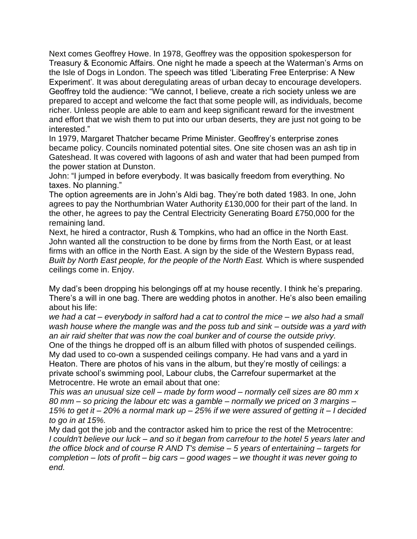Next comes Geoffrey Howe. In 1978, Geoffrey was the opposition spokesperson for Treasury & Economic Affairs. One night he made a speech at the Waterman's Arms on the Isle of Dogs in London. The speech was titled 'Liberating Free Enterprise: A New Experiment'*.* It was about deregulating areas of urban decay to encourage developers. Geoffrey told the audience: "We cannot, I believe, create a rich society unless we are prepared to accept and welcome the fact that some people will, as individuals, become richer. Unless people are able to earn and keep significant reward for the investment and effort that we wish them to put into our urban deserts, they are just not going to be interested."

In 1979, Margaret Thatcher became Prime Minister. Geoffrey's enterprise zones became policy. Councils nominated potential sites. One site chosen was an ash tip in Gateshead. It was covered with lagoons of ash and water that had been pumped from the power station at Dunston.

John: "I jumped in before everybody. It was basically freedom from everything. No taxes. No planning."

The option agreements are in John's Aldi bag. They're both dated 1983. In one, John agrees to pay the Northumbrian Water Authority £130,000 for their part of the land. In the other, he agrees to pay the Central Electricity Generating Board £750,000 for the remaining land.

Next, he hired a contractor, Rush & Tompkins, who had an office in the North East. John wanted all the construction to be done by firms from the North East, or at least firms with an office in the North East. A sign by the side of the Western Bypass read, *Built by North East people, for the people of the North East.* Which is where suspended ceilings come in. Enjoy.

My dad's been dropping his belongings off at my house recently. I think he's preparing. There's a will in one bag. There are wedding photos in another. He's also been emailing about his life:

*we had a cat – everybody in salford had a cat to control the mice – we also had a small wash house where the mangle was and the poss tub and sink – outside was a yard with an air raid shelter that was now the coal bunker and of course the outside privy.* One of the things he dropped off is an album filled with photos of suspended ceilings. My dad used to co-own a suspended ceilings company. He had vans and a yard in Heaton. There are photos of his vans in the album, but they're mostly of ceilings: a private school's swimming pool, Labour clubs, the Carrefour supermarket at the Metrocentre. He wrote an email about that one:

*This was an unusual size cell – made by form wood – normally cell sizes are 80 mm x 80 mm – so pricing the labour etc was a gamble – normally we priced on 3 margins – 15% to get it – 20% a normal mark up – 25% if we were assured of getting it – I decided to go in at 15%.*

My dad got the job and the contractor asked him to price the rest of the Metrocentre: *I couldn't believe our luck – and so it began from carrefour to the hotel 5 years later and the office block and of course R AND T's demise – 5 years of entertaining – targets for completion – lots of profit – big cars – good wages – we thought it was never going to end.*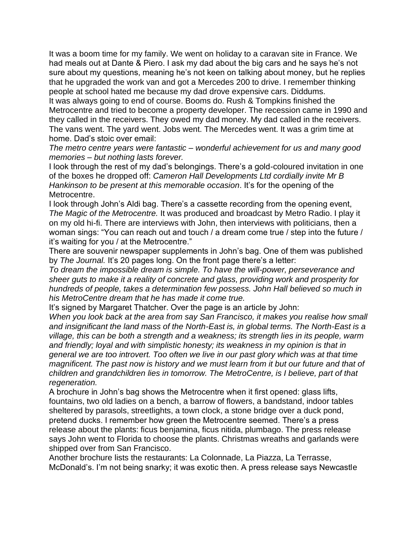It was a boom time for my family. We went on holiday to a caravan site in France. We had meals out at Dante & Piero. I ask my dad about the big cars and he says he's not sure about my questions, meaning he's not keen on talking about money, but he replies that he upgraded the work van and got a Mercedes 200 to drive. I remember thinking people at school hated me because my dad drove expensive cars. Diddums.

It was always going to end of course. Booms do. Rush & Tompkins finished the Metrocentre and tried to become a property developer. The recession came in 1990 and they called in the receivers. They owed my dad money. My dad called in the receivers. The vans went. The yard went. Jobs went. The Mercedes went. It was a grim time at home. Dad's stoic over email:

*The metro centre years were fantastic – wonderful achievement for us and many good memories – but nothing lasts forever.*

I look through the rest of my dad's belongings. There's a gold-coloured invitation in one of the boxes he dropped off: *Cameron Hall Developments Ltd cordially invite Mr B Hankinson to be present at this memorable occasion*. It's for the opening of the Metrocentre.

I look through John's Aldi bag. There's a cassette recording from the opening event, *The Magic of the Metrocentre.* It was produced and broadcast by Metro Radio. I play it on my old hi-fi. There are interviews with John, then interviews with politicians, then a woman sings: "You can reach out and touch / a dream come true / step into the future / it's waiting for you / at the Metrocentre."

There are souvenir newspaper supplements in John's bag. One of them was published by *The Journal.* It's 20 pages long. On the front page there's a letter:

*To dream the impossible dream is simple. To have the will-power, perseverance and sheer guts to make it a reality of concrete and glass, providing work and prosperity for hundreds of people, takes a determination few possess. John Hall believed so much in his MetroCentre dream that he has made it come true.*

It's signed by Margaret Thatcher. Over the page is an article by John:

*When you look back at the area from say San Francisco, it makes you realise how small and insignificant the land mass of the North-East is, in global terms. The North-East is a village, this can be both a strength and a weakness; its strength lies in its people, warm and friendly; loyal and with simplistic honesty; its weakness in my opinion is that in general we are too introvert. Too often we live in our past glory which was at that time magnificent. The past now is history and we must learn from it but our future and that of children and grandchildren lies in tomorrow. The MetroCentre, is I believe, part of that regeneration.*

A brochure in John's bag shows the Metrocentre when it first opened: glass lifts, fountains, two old ladies on a bench, a barrow of flowers, a bandstand, indoor tables sheltered by parasols, streetlights, a town clock, a stone bridge over a duck pond, pretend ducks. I remember how green the Metrocentre seemed. There's a press release about the plants: ficus benjamina, ficus nitida, plumbago. The press release says John went to Florida to choose the plants. Christmas wreaths and garlands were shipped over from San Francisco.

Another brochure lists the restaurants: La Colonnade, La Piazza, La Terrasse, McDonald's. I'm not being snarky; it was exotic then. A press release says Newcastle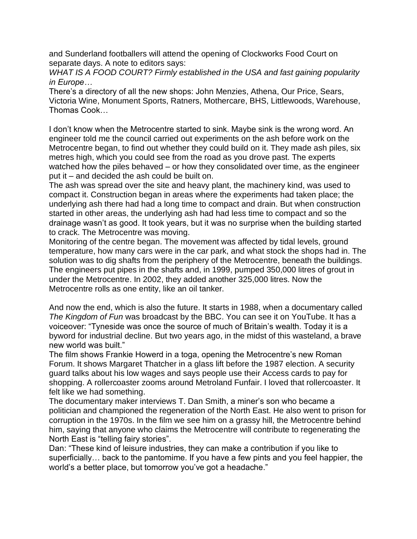and Sunderland footballers will attend the opening of Clockworks Food Court on separate days. A note to editors says:

*WHAT IS A FOOD COURT? Firmly established in the USA and fast gaining popularity in Europe…*

There's a directory of all the new shops: John Menzies, Athena, Our Price, Sears, Victoria Wine, Monument Sports, Ratners, Mothercare, BHS, Littlewoods, Warehouse, Thomas Cook…

I don't know when the Metrocentre started to sink. Maybe sink is the wrong word. An engineer told me the council carried out experiments on the ash before work on the Metrocentre began, to find out whether they could build on it. They made ash piles, six metres high, which you could see from the road as you drove past. The experts watched how the piles behaved – or how they consolidated over time, as the engineer put it – and decided the ash could be built on.

The ash was spread over the site and heavy plant, the machinery kind, was used to compact it. Construction began in areas where the experiments had taken place; the underlying ash there had had a long time to compact and drain. But when construction started in other areas, the underlying ash had had less time to compact and so the drainage wasn't as good. It took years, but it was no surprise when the building started to crack. The Metrocentre was moving.

Monitoring of the centre began. The movement was affected by tidal levels, ground temperature, how many cars were in the car park, and what stock the shops had in. The solution was to dig shafts from the periphery of the Metrocentre, beneath the buildings. The engineers put pipes in the shafts and, in 1999, pumped 350,000 litres of grout in under the Metrocentre. In 2002, they added another 325,000 litres. Now the Metrocentre rolls as one entity, like an oil tanker.

And now the end, which is also the future. It starts in 1988, when a documentary called *The Kingdom of Fun* was broadcast by the BBC. You can see it on YouTube. It has a voiceover: "Tyneside was once the source of much of Britain's wealth. Today it is a byword for industrial decline. But two years ago, in the midst of this wasteland, a brave new world was built."

The film shows Frankie Howerd in a toga, opening the Metrocentre's new Roman Forum. It shows Margaret Thatcher in a glass lift before the 1987 election. A security guard talks about his low wages and says people use their Access cards to pay for shopping. A rollercoaster zooms around Metroland Funfair. I loved that rollercoaster. It felt like we had something.

The documentary maker interviews T. Dan Smith, a miner's son who became a politician and championed the regeneration of the North East. He also went to prison for corruption in the 1970s. In the film we see him on a grassy hill, the Metrocentre behind him, saying that anyone who claims the Metrocentre will contribute to regenerating the North East is "telling fairy stories".

Dan: "These kind of leisure industries, they can make a contribution if you like to superficially… back to the pantomime. If you have a few pints and you feel happier, the world's a better place, but tomorrow you've got a headache."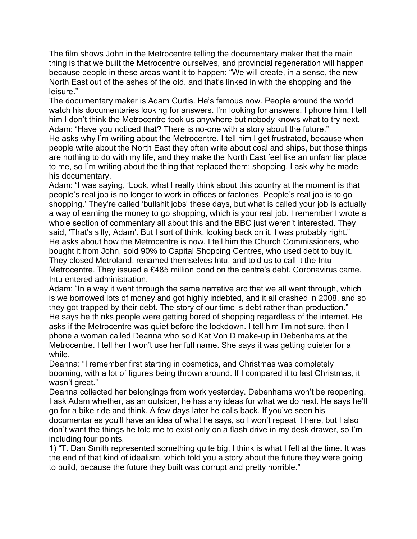The film shows John in the Metrocentre telling the documentary maker that the main thing is that we built the Metrocentre ourselves, and provincial regeneration will happen because people in these areas want it to happen: "We will create, in a sense, the new North East out of the ashes of the old, and that's linked in with the shopping and the leisure."

The documentary maker is Adam Curtis. He's famous now. People around the world watch his documentaries looking for answers. I'm looking for answers. I phone him. I tell him I don't think the Metrocentre took us anywhere but nobody knows what to try next. Adam: "Have you noticed that? There is no-one with a story about the future." He asks why I'm writing about the Metrocentre. I tell him I get frustrated, because when people write about the North East they often write about coal and ships, but those things are nothing to do with my life, and they make the North East feel like an unfamiliar place

to me, so I'm writing about the thing that replaced them: shopping. I ask why he made his documentary.

Adam: "I was saying, 'Look, what I really think about this country at the moment is that people's real job is no longer to work in offices or factories. People's real job is to go shopping.' They're called 'bullshit jobs' these days, but what is called your job is actually a way of earning the money to go shopping, which is your real job. I remember I wrote a whole section of commentary all about this and the BBC just weren't interested. They said, 'That's silly, Adam'. But I sort of think, looking back on it, I was probably right." He asks about how the Metrocentre is now. I tell him the Church Commissioners, who bought it from John, sold 90% to Capital Shopping Centres, who used debt to buy it. They closed Metroland, renamed themselves Intu, and told us to call it the Intu Metrocentre. They issued a £485 million bond on the centre's debt. Coronavirus came. Intu entered administration.

Adam: "In a way it went through the same narrative arc that we all went through, which is we borrowed lots of money and got highly indebted, and it all crashed in 2008, and so they got trapped by their debt. The story of our time is debt rather than production." He says he thinks people were getting bored of shopping regardless of the internet. He asks if the Metrocentre was quiet before the lockdown. I tell him I'm not sure, then I phone a woman called Deanna who sold Kat Von D make-up in Debenhams at the Metrocentre. I tell her I won't use her full name. She says it was getting quieter for a while.

Deanna: "I remember first starting in cosmetics, and Christmas was completely booming, with a lot of figures being thrown around. If I compared it to last Christmas, it wasn't great."

Deanna collected her belongings from work yesterday. Debenhams won't be reopening. I ask Adam whether, as an outsider, he has any ideas for what we do next. He says he'll go for a bike ride and think. A few days later he calls back. If you've seen his documentaries you'll have an idea of what he says, so I won't repeat it here, but I also don't want the things he told me to exist only on a flash drive in my desk drawer, so I'm including four points.

1) "T. Dan Smith represented something quite big, I think is what I felt at the time. It was the end of that kind of idealism, which told you a story about the future they were going to build, because the future they built was corrupt and pretty horrible."